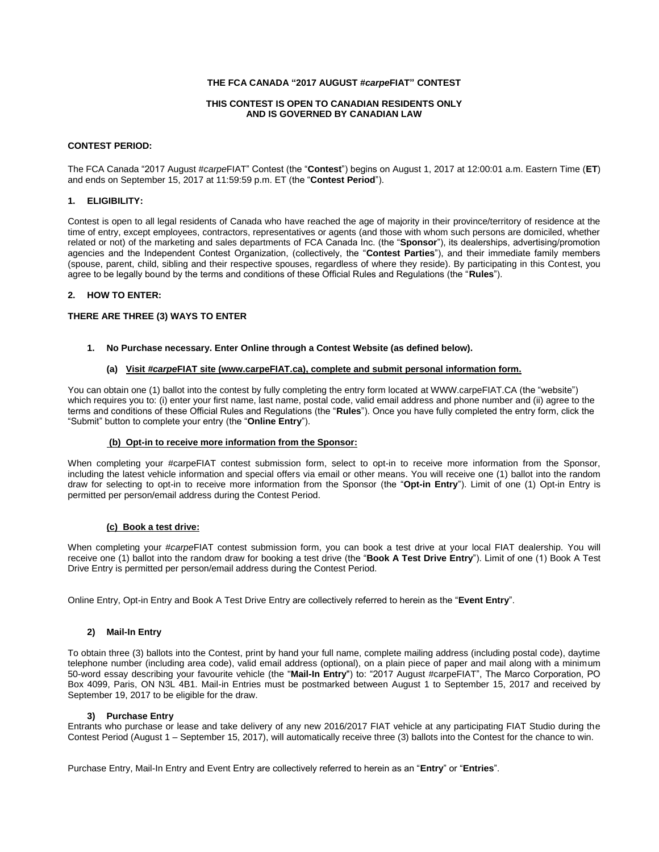### **THE FCA CANADA "2017 AUGUST #***carpe***FIAT" CONTEST**

#### **THIS CONTEST IS OPEN TO CANADIAN RESIDENTS ONLY AND IS GOVERNED BY CANADIAN LAW**

#### **CONTEST PERIOD:**

The FCA Canada "2017 August #*carpe*FIAT" Contest (the "**Contest**") begins on August 1, 2017 at 12:00:01 a.m. Eastern Time (**ET**) and ends on September 15, 2017 at 11:59:59 p.m. ET (the "**Contest Period**").

### **1. ELIGIBILITY:**

Contest is open to all legal residents of Canada who have reached the age of majority in their province/territory of residence at the time of entry, except employees, contractors, representatives or agents (and those with whom such persons are domiciled, whether related or not) of the marketing and sales departments of FCA Canada Inc. (the "**Sponsor**"), its dealerships, advertising/promotion agencies and the Independent Contest Organization, (collectively, the "**Contest Parties**"), and their immediate family members (spouse, parent, child, sibling and their respective spouses, regardless of where they reside). By participating in this Contest, you agree to be legally bound by the terms and conditions of these Official Rules and Regulations (the "**Rules**").

### **2. HOW TO ENTER:**

## **THERE ARE THREE (3) WAYS TO ENTER**

## **1. No Purchase necessary. Enter Online through a Contest Website (as defined below).**

#### **(a) Visit** *#carpe***FIAT site (www.carpeFIAT.ca), complete and submit personal information form.**

You can obtain one (1) ballot into the contest by fully completing the entry form located at WWW.carpeFIAT.CA (the "website") which requires you to: (i) enter your first name, last name, postal code, valid email address and phone number and (ii) agree to the terms and conditions of these Official Rules and Regulations (the "**Rules**"). Once you have fully completed the entry form, click the "Submit" button to complete your entry (the "**Online Entry**").

#### **(b) Opt-in to receive more information from the Sponsor:**

When completing your #carpeFIAT contest submission form, select to opt-in to receive more information from the Sponsor, including the latest vehicle information and special offers via email or other means. You will receive one (1) ballot into the random draw for selecting to opt-in to receive more information from the Sponsor (the "**Opt-in Entry**"). Limit of one (1) Opt-in Entry is permitted per person/email address during the Contest Period.

## **(c) Book a test drive:**

When completing your #*carpe*FIAT contest submission form, you can book a test drive at your local FIAT dealership. You will receive one (1) ballot into the random draw for booking a test drive (the "**Book A Test Drive Entry**"). Limit of one (1) Book A Test Drive Entry is permitted per person/email address during the Contest Period.

Online Entry, Opt-in Entry and Book A Test Drive Entry are collectively referred to herein as the "**Event Entry**".

## **2) Mail-In Entry**

To obtain three (3) ballots into the Contest, print by hand your full name, complete mailing address (including postal code), daytime telephone number (including area code), valid email address (optional), on a plain piece of paper and mail along with a minimum 50-word essay describing your favourite vehicle (the "**Mail-In Entry**") to: "2017 August #carpeFIAT", The Marco Corporation, PO Box 4099, Paris, ON N3L 4B1. Mail-in Entries must be postmarked between August 1 to September 15, 2017 and received by September 19, 2017 to be eligible for the draw.

## **3) Purchase Entry**

Entrants who purchase or lease and take delivery of any new 2016/2017 FIAT vehicle at any participating FIAT Studio during the Contest Period (August 1 – September 15, 2017), will automatically receive three (3) ballots into the Contest for the chance to win.

Purchase Entry, Mail-In Entry and Event Entry are collectively referred to herein as an "**Entry**" or "**Entries**".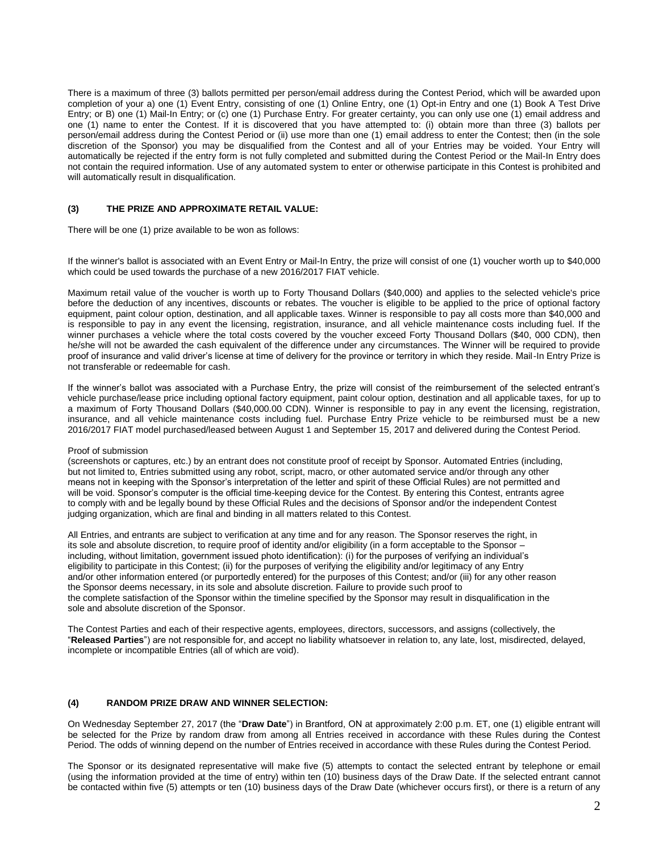There is a maximum of three (3) ballots permitted per person/email address during the Contest Period, which will be awarded upon completion of your a) one (1) Event Entry, consisting of one (1) Online Entry, one (1) Opt-in Entry and one (1) Book A Test Drive Entry; or B) one (1) Mail-In Entry; or (c) one (1) Purchase Entry. For greater certainty, you can only use one (1) email address and one (1) name to enter the Contest. If it is discovered that you have attempted to: (i) obtain more than three (3) ballots per person/email address during the Contest Period or (ii) use more than one (1) email address to enter the Contest; then (in the sole discretion of the Sponsor) you may be disqualified from the Contest and all of your Entries may be voided. Your Entry will automatically be rejected if the entry form is not fully completed and submitted during the Contest Period or the Mail-In Entry does not contain the required information. Use of any automated system to enter or otherwise participate in this Contest is prohibited and will automatically result in disqualification.

## **(3) THE PRIZE AND APPROXIMATE RETAIL VALUE:**

There will be one (1) prize available to be won as follows:

If the winner's ballot is associated with an Event Entry or Mail-In Entry, the prize will consist of one (1) voucher worth up to \$40,000 which could be used towards the purchase of a new 2016/2017 FIAT vehicle.

Maximum retail value of the voucher is worth up to Forty Thousand Dollars (\$40,000) and applies to the selected vehicle's price before the deduction of any incentives, discounts or rebates. The voucher is eligible to be applied to the price of optional factory equipment, paint colour option, destination, and all applicable taxes. Winner is responsible to pay all costs more than \$40,000 and is responsible to pay in any event the licensing, registration, insurance, and all vehicle maintenance costs including fuel. If the winner purchases a vehicle where the total costs covered by the voucher exceed Forty Thousand Dollars (\$40, 000 CDN), then he/she will not be awarded the cash equivalent of the difference under any circumstances. The Winner will be required to provide proof of insurance and valid driver's license at time of delivery for the province or territory in which they reside. Mail-In Entry Prize is not transferable or redeemable for cash.

If the winner's ballot was associated with a Purchase Entry, the prize will consist of the reimbursement of the selected entrant's vehicle purchase/lease price including optional factory equipment, paint colour option, destination and all applicable taxes, for up to a maximum of Forty Thousand Dollars (\$40,000.00 CDN). Winner is responsible to pay in any event the licensing, registration, insurance, and all vehicle maintenance costs including fuel. Purchase Entry Prize vehicle to be reimbursed must be a new 2016/2017 FIAT model purchased/leased between August 1 and September 15, 2017 and delivered during the Contest Period.

## Proof of submission

(screenshots or captures, etc.) by an entrant does not constitute proof of receipt by Sponsor. Automated Entries (including, but not limited to, Entries submitted using any robot, script, macro, or other automated service and/or through any other means not in keeping with the Sponsor's interpretation of the letter and spirit of these Official Rules) are not permitted and will be void. Sponsor's computer is the official time-keeping device for the Contest. By entering this Contest, entrants agree to comply with and be legally bound by these Official Rules and the decisions of Sponsor and/or the independent Contest judging organization, which are final and binding in all matters related to this Contest.

All Entries, and entrants are subject to verification at any time and for any reason. The Sponsor reserves the right, in its sole and absolute discretion, to require proof of identity and/or eligibility (in a form acceptable to the Sponsor – including, without limitation, government issued photo identification): (i) for the purposes of verifying an individual's eligibility to participate in this Contest; (ii) for the purposes of verifying the eligibility and/or legitimacy of any Entry and/or other information entered (or purportedly entered) for the purposes of this Contest; and/or (iii) for any other reason the Sponsor deems necessary, in its sole and absolute discretion. Failure to provide such proof to the complete satisfaction of the Sponsor within the timeline specified by the Sponsor may result in disqualification in the sole and absolute discretion of the Sponsor.

The Contest Parties and each of their respective agents, employees, directors, successors, and assigns (collectively, the "**Released Parties**") are not responsible for, and accept no liability whatsoever in relation to, any late, lost, misdirected, delayed, incomplete or incompatible Entries (all of which are void).

## **(4) RANDOM PRIZE DRAW AND WINNER SELECTION:**

On Wednesday September 27, 2017 (the "**Draw Date**") in Brantford, ON at approximately 2:00 p.m. ET, one (1) eligible entrant will be selected for the Prize by random draw from among all Entries received in accordance with these Rules during the Contest Period. The odds of winning depend on the number of Entries received in accordance with these Rules during the Contest Period.

The Sponsor or its designated representative will make five (5) attempts to contact the selected entrant by telephone or email (using the information provided at the time of entry) within ten (10) business days of the Draw Date. If the selected entrant cannot be contacted within five (5) attempts or ten (10) business days of the Draw Date (whichever occurs first), or there is a return of any